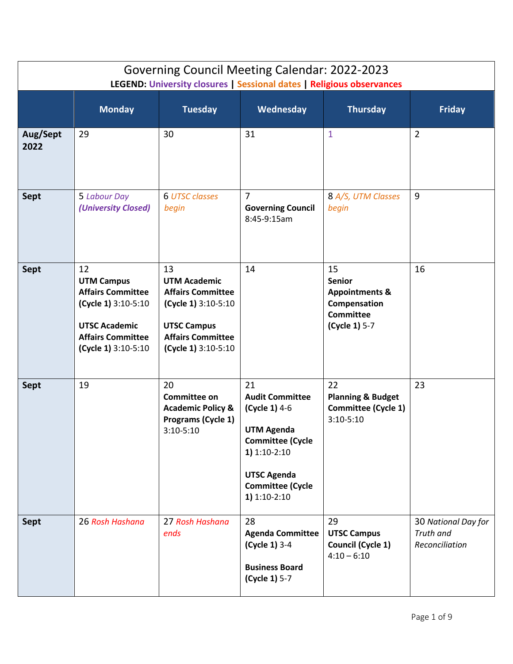| <b>Governing Council Meeting Calendar: 2022-2023</b><br>LEGEND: University closures   Sessional dates   Religious observances |                                                                                                                                                       |                                                                                                                                                       |                                                                                                                                                                                    |                                                                                                       |                                                    |  |
|-------------------------------------------------------------------------------------------------------------------------------|-------------------------------------------------------------------------------------------------------------------------------------------------------|-------------------------------------------------------------------------------------------------------------------------------------------------------|------------------------------------------------------------------------------------------------------------------------------------------------------------------------------------|-------------------------------------------------------------------------------------------------------|----------------------------------------------------|--|
|                                                                                                                               | <b>Monday</b>                                                                                                                                         | <b>Tuesday</b>                                                                                                                                        | Wednesday                                                                                                                                                                          | <b>Thursday</b>                                                                                       | <b>Friday</b>                                      |  |
| Aug/Sept<br>2022                                                                                                              | 29                                                                                                                                                    | 30                                                                                                                                                    | 31                                                                                                                                                                                 | 1                                                                                                     | $\overline{2}$                                     |  |
| <b>Sept</b>                                                                                                                   | 5 Labour Day<br>(University Closed)                                                                                                                   | <b>6 UTSC classes</b><br>begin                                                                                                                        | $\overline{7}$<br><b>Governing Council</b><br>8:45-9:15am                                                                                                                          | 8 A/S, UTM Classes<br>begin                                                                           | 9                                                  |  |
| <b>Sept</b>                                                                                                                   | 12<br><b>UTM Campus</b><br><b>Affairs Committee</b><br>(Cycle 1) 3:10-5:10<br><b>UTSC Academic</b><br><b>Affairs Committee</b><br>(Cycle 1) 3:10-5:10 | 13<br><b>UTM Academic</b><br><b>Affairs Committee</b><br>(Cycle 1) 3:10-5:10<br><b>UTSC Campus</b><br><b>Affairs Committee</b><br>(Cycle 1) 3:10-5:10 | 14                                                                                                                                                                                 | 15<br><b>Senior</b><br><b>Appointments &amp;</b><br>Compensation<br><b>Committee</b><br>(Cycle 1) 5-7 | 16                                                 |  |
| Sept                                                                                                                          | 19                                                                                                                                                    | 20<br><b>Committee on</b><br><b>Academic Policy &amp;</b><br>Programs (Cycle 1)<br>$3:10 - 5:10$                                                      | 21<br><b>Audit Committee</b><br>(Cycle 1) 4-6<br><b>UTM Agenda</b><br><b>Committee (Cycle</b><br>$1)$ 1:10-2:10<br><b>UTSC Agenda</b><br><b>Committee (Cycle</b><br>$1)$ 1:10-2:10 | 22<br><b>Planning &amp; Budget</b><br><b>Committee (Cycle 1)</b><br>$3:10 - 5:10$                     | 23                                                 |  |
| <b>Sept</b>                                                                                                                   | 26 Rosh Hashana                                                                                                                                       | 27 Rosh Hashana<br>ends                                                                                                                               | 28<br><b>Agenda Committee</b><br>(Cycle 1) 3-4<br><b>Business Board</b><br>(Cycle 1) 5-7                                                                                           | 29<br><b>UTSC Campus</b><br>Council (Cycle 1)<br>$4:10 - 6:10$                                        | 30 National Day for<br>Truth and<br>Reconciliation |  |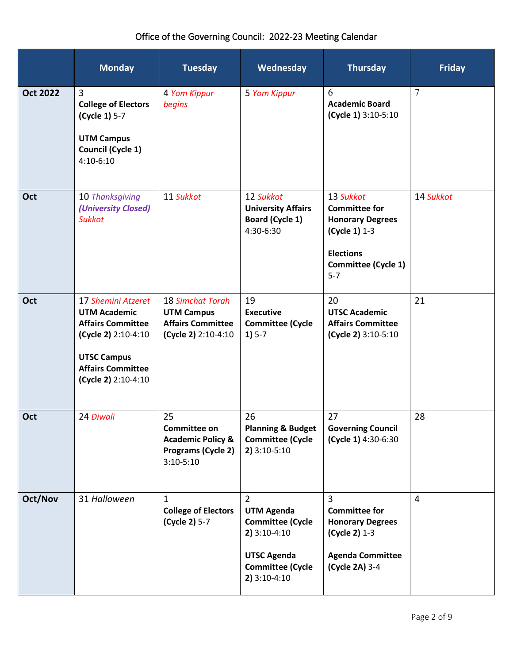|                 | <b>Monday</b>                                                                                                                                                         | <b>Tuesday</b>                                                                           | Wednesday                                                                                                                                           | <b>Thursday</b>                                                                                                                     | <b>Friday</b> |
|-----------------|-----------------------------------------------------------------------------------------------------------------------------------------------------------------------|------------------------------------------------------------------------------------------|-----------------------------------------------------------------------------------------------------------------------------------------------------|-------------------------------------------------------------------------------------------------------------------------------------|---------------|
| <b>Oct 2022</b> | 3<br><b>College of Electors</b><br>(Cycle 1) 5-7<br><b>UTM Campus</b><br><b>Council (Cycle 1)</b><br>$4:10-6:10$                                                      | 4 Yom Kippur<br>begins                                                                   | 5 Yom Kippur                                                                                                                                        | 6<br><b>Academic Board</b><br>(Cycle 1) 3:10-5:10                                                                                   | $\tau$        |
| Oct             | 10 Thanksgiving<br>(University Closed)<br><b>Sukkot</b>                                                                                                               | 11 Sukkot                                                                                | 12 Sukkot<br><b>University Affairs</b><br>Board (Cycle 1)<br>4:30-6:30                                                                              | 13 Sukkot<br><b>Committee for</b><br><b>Honorary Degrees</b><br>(Cycle 1) 1-3<br><b>Elections</b><br>Committee (Cycle 1)<br>$5 - 7$ | 14 Sukkot     |
| Oct             | 17 Shemini Atzeret<br><b>UTM Academic</b><br><b>Affairs Committee</b><br>(Cycle 2) 2:10-4:10<br><b>UTSC Campus</b><br><b>Affairs Committee</b><br>(Cycle 2) 2:10-4:10 | 18 Simchat Torah<br><b>UTM Campus</b><br><b>Affairs Committee</b><br>(Cycle 2) 2:10-4:10 | 19<br><b>Executive</b><br><b>Committee (Cycle</b><br>$1) 5-7$                                                                                       | 20<br><b>UTSC Academic</b><br><b>Affairs Committee</b><br>(Cycle 2) 3:10-5:10                                                       | 21            |
| Oct             | 24 Diwali                                                                                                                                                             | 25<br>Committee on<br><b>Academic Policy &amp;</b><br>Programs (Cycle 2)<br>$3:10-5:10$  | 26<br><b>Planning &amp; Budget</b><br><b>Committee (Cycle</b><br>2) 3:10-5:10                                                                       | 27<br><b>Governing Council</b><br>(Cycle 1) 4:30-6:30                                                                               | 28            |
| Oct/Nov         | 31 Halloween                                                                                                                                                          | $\mathbf 1$<br><b>College of Electors</b><br>(Cycle 2) 5-7                               | $\overline{2}$<br><b>UTM Agenda</b><br><b>Committee (Cycle</b><br>$2)$ 3:10-4:10<br><b>UTSC Agenda</b><br><b>Committee (Cycle</b><br>$2)$ 3:10-4:10 | 3<br><b>Committee for</b><br><b>Honorary Degrees</b><br>(Cycle 2) 1-3<br><b>Agenda Committee</b><br>(Cycle 2A) 3-4                  | 4             |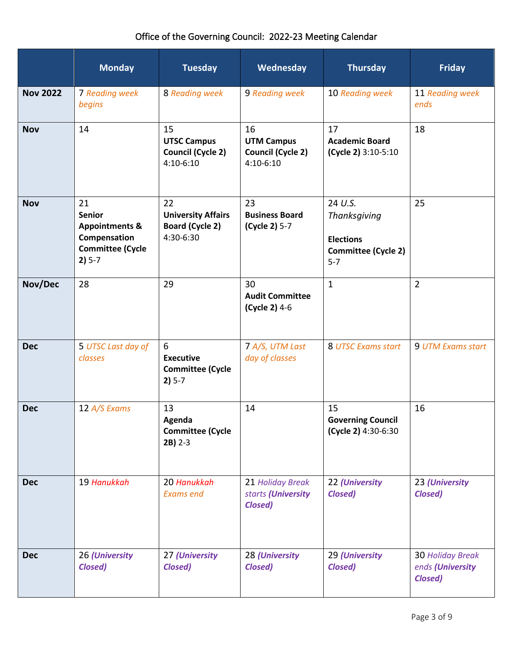|                 | <b>Monday</b>                                                                                           | <b>Tuesday</b>                                                         | Wednesday                                                        | <b>Thursday</b>                                                                      | <b>Friday</b>                                                 |
|-----------------|---------------------------------------------------------------------------------------------------------|------------------------------------------------------------------------|------------------------------------------------------------------|--------------------------------------------------------------------------------------|---------------------------------------------------------------|
| <b>Nov 2022</b> | 7 Reading week<br>begins                                                                                | 8 Reading week                                                         | 9 Reading week                                                   | 10 Reading week                                                                      | 11 Reading week<br>ends                                       |
| <b>Nov</b>      | 14                                                                                                      | 15<br><b>UTSC Campus</b><br><b>Council (Cycle 2)</b><br>4:10-6:10      | 16<br><b>UTM Campus</b><br><b>Council (Cycle 2)</b><br>4:10-6:10 | 17<br><b>Academic Board</b><br>(Cycle 2) 3:10-5:10                                   | 18                                                            |
| <b>Nov</b>      | 21<br><b>Senior</b><br><b>Appointments &amp;</b><br>Compensation<br><b>Committee (Cycle</b><br>$2) 5-7$ | 22<br><b>University Affairs</b><br><b>Board (Cycle 2)</b><br>4:30-6:30 | 23<br><b>Business Board</b><br>(Cycle 2) 5-7                     | 24 U.S.<br>Thanksgiving<br><b>Elections</b><br><b>Committee (Cycle 2)</b><br>$5 - 7$ | 25                                                            |
| Nov/Dec         | 28                                                                                                      | 29                                                                     | 30<br><b>Audit Committee</b><br>(Cycle 2) 4-6                    | $\mathbf{1}$                                                                         | $\overline{2}$                                                |
| <b>Dec</b>      | 5 UTSC Last day of<br>classes                                                                           | 6<br><b>Executive</b><br><b>Committee (Cycle</b><br>$2) 5-7$           | 7 A/S, UTM Last<br>day of classes                                | 8 UTSC Exams start                                                                   | 9 UTM Exams start                                             |
| <b>Dec</b>      | 12 A/S Exams                                                                                            | 13<br>Agenda<br><b>Committee (Cycle</b><br>$2B$ ) 2-3                  | 14                                                               | 15<br><b>Governing Council</b><br>(Cycle 2) 4:30-6:30                                | 16                                                            |
| <b>Dec</b>      | 19 Hanukkah                                                                                             | 20 Hanukkah<br><b>Exams end</b>                                        | 21 Holiday Break<br>starts (University<br>Closed)                | 22 (University<br><b>Closed)</b>                                                     | 23 (University<br><b>Closed)</b>                              |
| <b>Dec</b>      | 26 (University<br><b>Closed)</b>                                                                        | 27 (University<br><b>Closed)</b>                                       | 28 (University<br><b>Closed)</b>                                 | 29 (University<br><b>Closed)</b>                                                     | <b>30 Holiday Break</b><br>ends (University<br><b>Closed)</b> |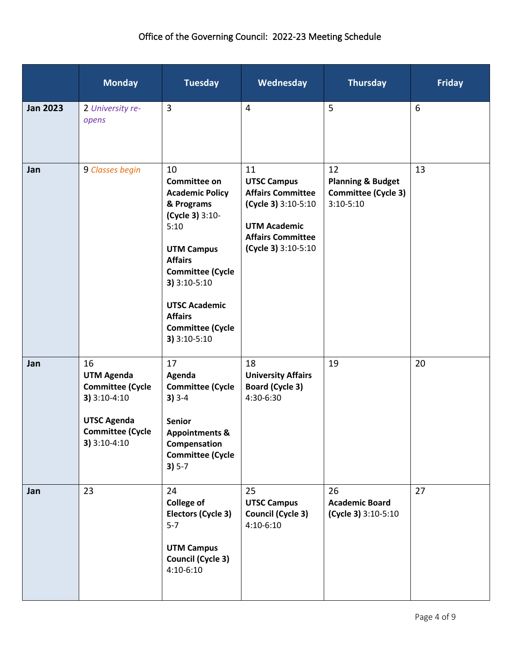# Office of the Governing Council: 2022-23 Meeting Schedule

|                 | <b>Monday</b>                                                                                                                         | <b>Tuesday</b>                                                                                                                                                                                                                                                      | Wednesday                                                                                                                                             | <b>Thursday</b>                                                                   | <b>Friday</b> |
|-----------------|---------------------------------------------------------------------------------------------------------------------------------------|---------------------------------------------------------------------------------------------------------------------------------------------------------------------------------------------------------------------------------------------------------------------|-------------------------------------------------------------------------------------------------------------------------------------------------------|-----------------------------------------------------------------------------------|---------------|
| <b>Jan 2023</b> | 2 University re-<br>opens                                                                                                             | $\overline{3}$                                                                                                                                                                                                                                                      | $\overline{4}$                                                                                                                                        | 5                                                                                 | 6             |
| Jan             | 9 Classes begin                                                                                                                       | 10<br><b>Committee on</b><br><b>Academic Policy</b><br>& Programs<br>(Cycle 3) 3:10-<br>5:10<br><b>UTM Campus</b><br><b>Affairs</b><br><b>Committee (Cycle</b><br>3) 3:10-5:10<br><b>UTSC Academic</b><br><b>Affairs</b><br><b>Committee (Cycle</b><br>3) 3:10-5:10 | 11<br><b>UTSC Campus</b><br><b>Affairs Committee</b><br>(Cycle 3) 3:10-5:10<br><b>UTM Academic</b><br><b>Affairs Committee</b><br>(Cycle 3) 3:10-5:10 | 12<br><b>Planning &amp; Budget</b><br><b>Committee (Cycle 3)</b><br>$3:10 - 5:10$ | 13            |
| Jan             | 16<br><b>UTM Agenda</b><br><b>Committee (Cycle</b><br>3) 3:10-4:10<br><b>UTSC Agenda</b><br><b>Committee (Cycle</b><br>$3) 3:10-4:10$ | 17<br>Agenda<br><b>Committee (Cycle</b><br>$3) 3-4$<br><b>Senior</b><br><b>Appointments &amp;</b><br>Compensation<br><b>Committee (Cycle</b><br>$3) 5-7$                                                                                                            | 18<br><b>University Affairs</b><br><b>Board (Cycle 3)</b><br>4:30-6:30                                                                                | 19                                                                                | 20            |
| Jan             | 23                                                                                                                                    | 24<br><b>College of</b><br>Electors (Cycle 3)<br>$5 - 7$<br><b>UTM Campus</b><br><b>Council (Cycle 3)</b><br>$4:10-6:10$                                                                                                                                            | 25<br><b>UTSC Campus</b><br><b>Council (Cycle 3)</b><br>$4:10-6:10$                                                                                   | 26<br><b>Academic Board</b><br>(Cycle 3) 3:10-5:10                                | 27            |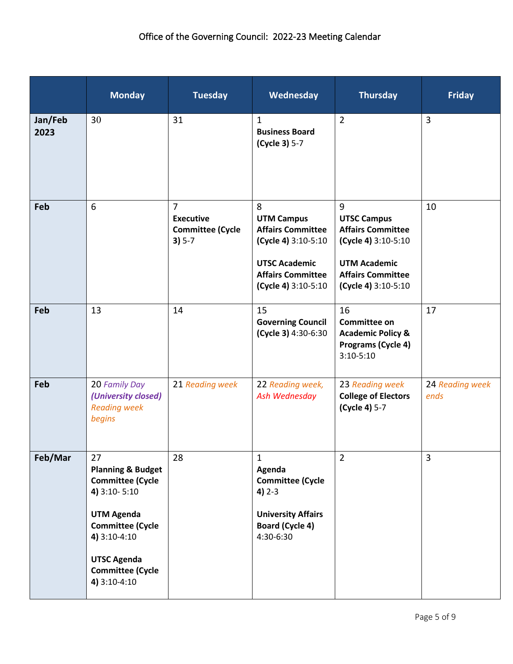|                 | <b>Monday</b>                                                                                                                                                                                                  | <b>Tuesday</b>                                                            | Wednesday                                                                                                                                            | <b>Thursday</b>                                                                                                                                      | <b>Friday</b>           |
|-----------------|----------------------------------------------------------------------------------------------------------------------------------------------------------------------------------------------------------------|---------------------------------------------------------------------------|------------------------------------------------------------------------------------------------------------------------------------------------------|------------------------------------------------------------------------------------------------------------------------------------------------------|-------------------------|
| Jan/Feb<br>2023 | 30 <sup>°</sup>                                                                                                                                                                                                | 31                                                                        | $\mathbf{1}$<br><b>Business Board</b><br>(Cycle 3) 5-7                                                                                               | $\overline{2}$                                                                                                                                       | $\overline{3}$          |
| Feb             | 6                                                                                                                                                                                                              | $\overline{7}$<br><b>Executive</b><br><b>Committee (Cycle</b><br>$3) 5-7$ | 8<br><b>UTM Campus</b><br><b>Affairs Committee</b><br>(Cycle 4) 3:10-5:10<br><b>UTSC Academic</b><br><b>Affairs Committee</b><br>(Cycle 4) 3:10-5:10 | 9<br><b>UTSC Campus</b><br><b>Affairs Committee</b><br>(Cycle 4) 3:10-5:10<br><b>UTM Academic</b><br><b>Affairs Committee</b><br>(Cycle 4) 3:10-5:10 | 10                      |
| Feb             | 13                                                                                                                                                                                                             | 14                                                                        | 15<br><b>Governing Council</b><br>(Cycle 3) 4:30-6:30                                                                                                | 16<br>Committee on<br><b>Academic Policy &amp;</b><br>Programs (Cycle 4)<br>$3:10-5:10$                                                              | 17                      |
| Feb             | 20 Family Day<br>(University closed)<br><b>Reading week</b><br>begins                                                                                                                                          | 21 Reading week                                                           | 22 Reading week,<br>Ash Wednesday                                                                                                                    | 23 Reading week<br><b>College of Electors</b><br>(Cycle 4) 5-7                                                                                       | 24 Reading week<br>ends |
| Feb/Mar         | 27<br><b>Planning &amp; Budget</b><br><b>Committee (Cycle</b><br>4) 3:10-5:10<br><b>UTM Agenda</b><br><b>Committee (Cycle</b><br>4) 3:10-4:10<br><b>UTSC Agenda</b><br><b>Committee (Cycle</b><br>4) 3:10-4:10 | 28                                                                        | $\mathbf{1}$<br>Agenda<br><b>Committee (Cycle</b><br>$4) 2 - 3$<br><b>University Affairs</b><br><b>Board (Cycle 4)</b><br>4:30-6:30                  | $\overline{2}$                                                                                                                                       | $\mathbf{3}$            |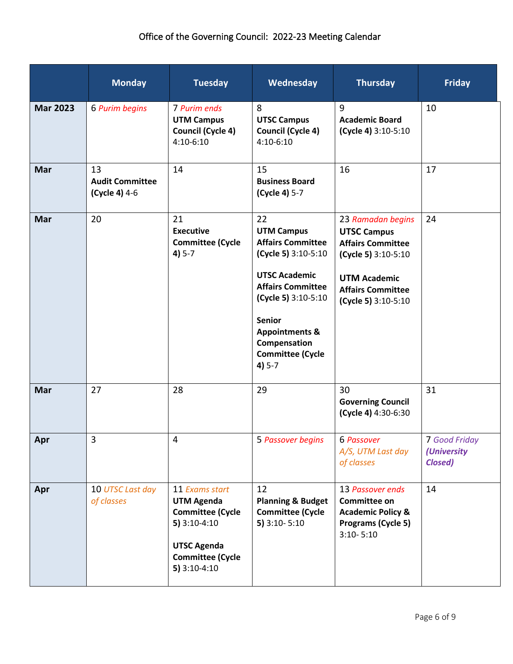|                 | <b>Monday</b>                                 | <b>Tuesday</b>                                                                                                                                      | Wednesday                                                                                                                                                                                                                                                  | <b>Thursday</b>                                                                                                                                                      | <b>Friday</b>                                  |
|-----------------|-----------------------------------------------|-----------------------------------------------------------------------------------------------------------------------------------------------------|------------------------------------------------------------------------------------------------------------------------------------------------------------------------------------------------------------------------------------------------------------|----------------------------------------------------------------------------------------------------------------------------------------------------------------------|------------------------------------------------|
| <b>Mar 2023</b> | 6 Purim begins                                | 7 Purim ends<br><b>UTM Campus</b><br>Council (Cycle 4)<br>$4:10-6:10$                                                                               | 8<br><b>UTSC Campus</b><br><b>Council (Cycle 4)</b><br>4:10-6:10                                                                                                                                                                                           | 9<br><b>Academic Board</b><br>(Cycle 4) 3:10-5:10                                                                                                                    | 10                                             |
| Mar             | 13<br><b>Audit Committee</b><br>(Cycle 4) 4-6 | 14                                                                                                                                                  | 15<br><b>Business Board</b><br>(Cycle 4) 5-7                                                                                                                                                                                                               | 16                                                                                                                                                                   | 17                                             |
| Mar             | 20                                            | 21<br><b>Executive</b><br><b>Committee (Cycle</b><br>$4) 5-7$                                                                                       | 22<br><b>UTM Campus</b><br><b>Affairs Committee</b><br>(Cycle 5) 3:10-5:10<br><b>UTSC Academic</b><br><b>Affairs Committee</b><br>(Cycle 5) 3:10-5:10<br><b>Senior</b><br><b>Appointments &amp;</b><br>Compensation<br><b>Committee (Cycle</b><br>$4) 5-7$ | 23 Ramadan begins<br><b>UTSC Campus</b><br><b>Affairs Committee</b><br>(Cycle 5) 3:10-5:10<br><b>UTM Academic</b><br><b>Affairs Committee</b><br>(Cycle 5) 3:10-5:10 | 24                                             |
| <b>Mar</b>      | 27                                            | 28                                                                                                                                                  | 29                                                                                                                                                                                                                                                         | 30<br><b>Governing Council</b><br>(Cycle 4) 4:30-6:30                                                                                                                | 31                                             |
| Apr             | $\mathbf{3}$                                  | Δ                                                                                                                                                   | 5 Passover begins                                                                                                                                                                                                                                          | 6 Passover<br>A/S, UTM Last day<br>of classes                                                                                                                        | 7 Good Friday<br>(University<br><b>Closed)</b> |
| Apr             | 10 UTSC Last day<br>of classes                | 11 Exams start<br><b>UTM Agenda</b><br><b>Committee (Cycle</b><br>$5)$ 3:10-4:10<br><b>UTSC Agenda</b><br><b>Committee (Cycle</b><br>$5)$ 3:10-4:10 | 12<br><b>Planning &amp; Budget</b><br><b>Committee (Cycle</b><br>$5)$ 3:10-5:10                                                                                                                                                                            | 13 Passover ends<br>Committee on<br><b>Academic Policy &amp;</b><br>Programs (Cycle 5)<br>$3:10 - 5:10$                                                              | 14                                             |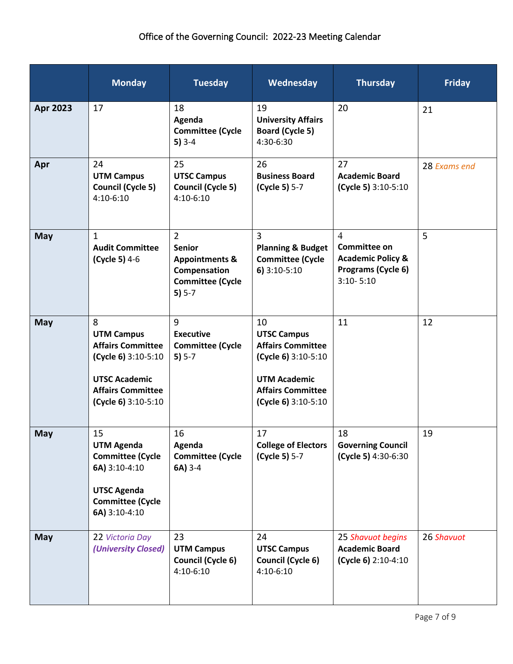|            | <b>Monday</b>                                                                                                                                        | <b>Tuesday</b>                                                                                                      | Wednesday                                                                                                                                             | <b>Thursday</b>                                                                                       | <b>Friday</b> |
|------------|------------------------------------------------------------------------------------------------------------------------------------------------------|---------------------------------------------------------------------------------------------------------------------|-------------------------------------------------------------------------------------------------------------------------------------------------------|-------------------------------------------------------------------------------------------------------|---------------|
| Apr 2023   | 17                                                                                                                                                   | 18<br>Agenda<br><b>Committee (Cycle</b><br>$5)3-4$                                                                  | 19<br><b>University Affairs</b><br>Board (Cycle 5)<br>4:30-6:30                                                                                       | 20                                                                                                    | 21            |
| Apr        | 24<br><b>UTM Campus</b><br>Council (Cycle 5)<br>$4:10-6:10$                                                                                          | 25<br><b>UTSC Campus</b><br><b>Council (Cycle 5)</b><br>4:10-6:10                                                   | 26<br><b>Business Board</b><br>(Cycle 5) 5-7                                                                                                          | 27<br><b>Academic Board</b><br>(Cycle 5) 3:10-5:10                                                    | 28 Exams end  |
| <b>May</b> | $\mathbf{1}$<br><b>Audit Committee</b><br>(Cycle 5) 4-6                                                                                              | $\overline{2}$<br><b>Senior</b><br><b>Appointments &amp;</b><br>Compensation<br><b>Committee (Cycle</b><br>$5) 5-7$ | $\overline{3}$<br><b>Planning &amp; Budget</b><br><b>Committee (Cycle</b><br>$6)$ 3:10-5:10                                                           | $\overline{4}$<br>Committee on<br><b>Academic Policy &amp;</b><br>Programs (Cycle 6)<br>$3:10 - 5:10$ | 5             |
| <b>May</b> | 8<br><b>UTM Campus</b><br><b>Affairs Committee</b><br>(Cycle 6) 3:10-5:10<br><b>UTSC Academic</b><br><b>Affairs Committee</b><br>(Cycle 6) 3:10-5:10 | 9<br><b>Executive</b><br><b>Committee (Cycle</b><br>$5) 5-7$                                                        | 10<br><b>UTSC Campus</b><br><b>Affairs Committee</b><br>(Cycle 6) 3:10-5:10<br><b>UTM Academic</b><br><b>Affairs Committee</b><br>(Cycle 6) 3:10-5:10 | 11                                                                                                    | 12            |
| <b>May</b> | 15<br><b>UTM Agenda</b><br><b>Committee (Cycle</b><br>6A) 3:10-4:10<br><b>UTSC Agenda</b><br><b>Committee (Cycle</b><br>6A) 3:10-4:10                | 16<br>Agenda<br><b>Committee (Cycle</b><br>6A) 3-4                                                                  | 17<br><b>College of Electors</b><br>(Cycle 5) 5-7                                                                                                     | 18<br><b>Governing Council</b><br>(Cycle 5) 4:30-6:30                                                 | 19            |
| <b>May</b> | 22 Victoria Day<br>(University Closed)                                                                                                               | 23<br><b>UTM Campus</b><br>Council (Cycle 6)<br>4:10-6:10                                                           | 24<br><b>UTSC Campus</b><br>Council (Cycle 6)<br>4:10-6:10                                                                                            | 25 Shavuot begins<br><b>Academic Board</b><br>(Cycle 6) 2:10-4:10                                     | 26 Shavuot    |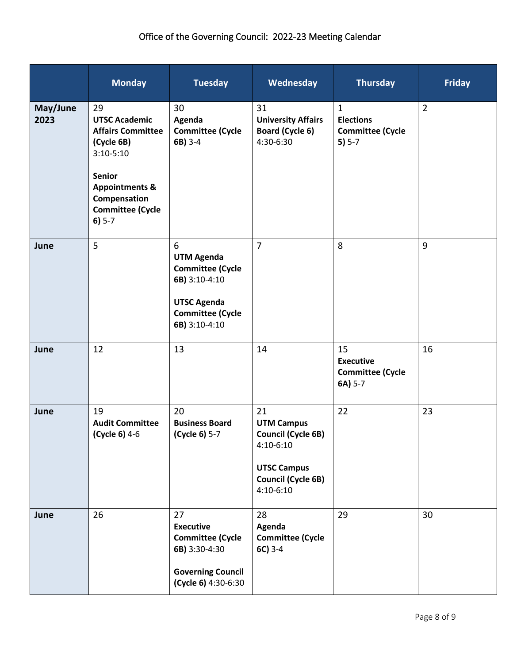|                  | <b>Monday</b>                                                                                                                                                                            | <b>Tuesday</b>                                                                                                                       | Wednesday                                                                                                                           | <b>Thursday</b>                                                         | <b>Friday</b>  |
|------------------|------------------------------------------------------------------------------------------------------------------------------------------------------------------------------------------|--------------------------------------------------------------------------------------------------------------------------------------|-------------------------------------------------------------------------------------------------------------------------------------|-------------------------------------------------------------------------|----------------|
| May/June<br>2023 | 29<br><b>UTSC Academic</b><br><b>Affairs Committee</b><br>(Cycle 6B)<br>$3:10-5:10$<br><b>Senior</b><br><b>Appointments &amp;</b><br>Compensation<br><b>Committee (Cycle</b><br>$6) 5-7$ | 30<br>Agenda<br><b>Committee (Cycle</b><br>6B) 3-4                                                                                   | 31<br><b>University Affairs</b><br>Board (Cycle 6)<br>4:30-6:30                                                                     | $\mathbf{1}$<br><b>Elections</b><br><b>Committee (Cycle</b><br>$5) 5-7$ | $\overline{2}$ |
| June             | 5                                                                                                                                                                                        | 6<br><b>UTM Agenda</b><br><b>Committee (Cycle</b><br>6B) 3:10-4:10<br><b>UTSC Agenda</b><br><b>Committee (Cycle</b><br>6B) 3:10-4:10 | $\overline{7}$                                                                                                                      | 8                                                                       | 9              |
| June             | 12                                                                                                                                                                                       | 13                                                                                                                                   | 14                                                                                                                                  | 15<br><b>Executive</b><br><b>Committee (Cycle</b><br>6A) 5-7            | 16             |
| June             | 19<br><b>Audit Committee</b><br>(Cycle 6) 4-6                                                                                                                                            | 20<br><b>Business Board</b><br>(Cycle 6) 5-7                                                                                         | 21<br><b>UTM Campus</b><br><b>Council (Cycle 6B)</b><br>4:10-6:10<br><b>UTSC Campus</b><br><b>Council (Cycle 6B)</b><br>$4:10-6:10$ | 22                                                                      | 23             |
| June             | 26                                                                                                                                                                                       | 27<br><b>Executive</b><br><b>Committee (Cycle</b><br>6B) 3:30-4:30<br><b>Governing Council</b><br>(Cycle 6) 4:30-6:30                | 28<br>Agenda<br><b>Committee (Cycle</b><br>$6C$ ) 3-4                                                                               | 29                                                                      | 30             |